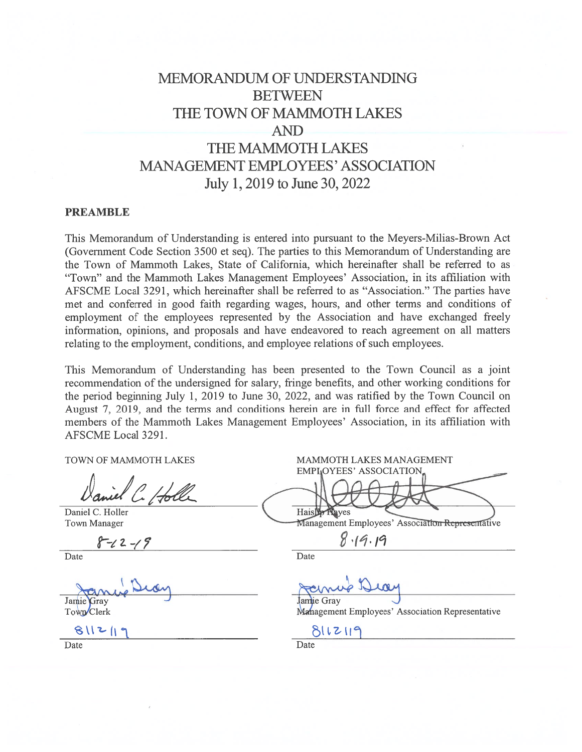# MEMORANDUM OF UNDERSTANDING **BETWEEN** THE TOWN OF MAMMOTH LAKES **AND** THE MAMMOTH LAKES **MANAGEMENT EMPLOYEES' ASSOCIATION** July 1, 2019 to June 30, 2022

#### **PREAMBLE**

This Memorandum of Understanding is entered into pursuant to the Meyers-Milias-Brown Act (Government Code Section 3500 et seq). The parties to this Memorandum of Understanding are the Town of Mammoth Lakes, State of California, which hereinafter shall be referred to as "Town" and the Mammoth Lakes Management Employees' Association, in its affiliation with AFSCME Local 3291, which hereinafter shall be referred to as "Association." The parties have met and conferred in good faith regarding wages, hours, and other terms and conditions of employment of the employees represented by the Association and have exchanged freely information, opinions, and proposals and have endeavored to reach agreement on all matters relating to the employment, conditions, and employee relations of such employees.

This Memorandum of Understanding has been presented to the Town Council as a joint recommendation of the undersigned for salary, fringe benefits, and other working conditions for the period beginning July 1, 2019 to June 30, 2022, and was ratified by the Town Council on August 7, 2019, and the terms and conditions herein are in full force and effect for affected members of the Mammoth Lakes Management Employees' Association, in its affiliation with AFSCME Local 3291.

TOWN OF MAMMOTH LAKES

Daniel C. Holler **Town Manager** 

 $-22 - 19$ 

Date

Jamie Gray Town Clerk

 $811210$ 

MAMMOTH LAKES MANAGEMENT **EMPLOYEES' ASSOCIATION** Haisler Nayes

Management Employees' Association Representative

 $8.19.19$ 

Date

Jamie Grav Management Employees' Association Representative

8112119

Date

Date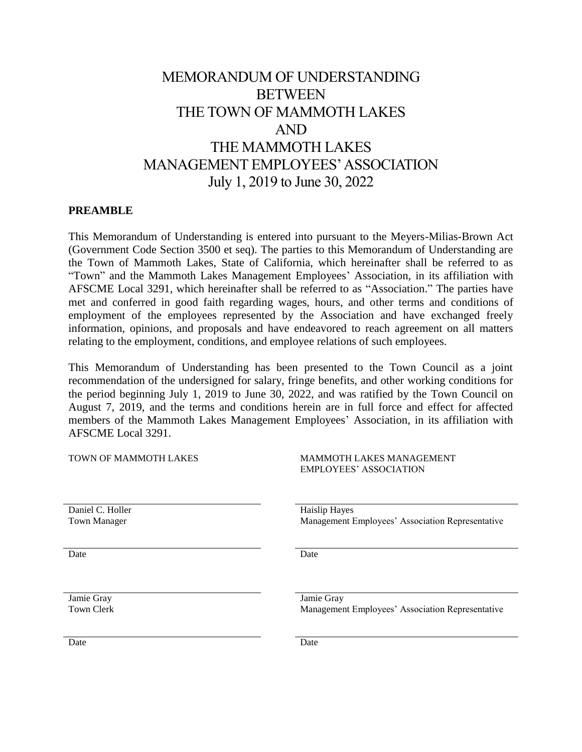# MEMORANDUM OF UNDERSTANDING **BETWEEN** THE TOWN OF MAMMOTH LAKES AND THE MAMMOTH LAKES MANAGEMENT EMPLOYEES'ASSOCIATION July 1, 2019 to June 30, 2022

#### **PREAMBLE**

This Memorandum of Understanding is entered into pursuant to the Meyers-Milias-Brown Act (Government Code Section 3500 et seq). The parties to this Memorandum of Understanding are the Town of Mammoth Lakes, State of California, which hereinafter shall be referred to as "Town" and the Mammoth Lakes Management Employees' Association, in its affiliation with AFSCME Local 3291, which hereinafter shall be referred to as "Association." The parties have met and conferred in good faith regarding wages, hours, and other terms and conditions of employment of the employees represented by the Association and have exchanged freely information, opinions, and proposals and have endeavored to reach agreement on all matters relating to the employment, conditions, and employee relations of such employees.

This Memorandum of Understanding has been presented to the Town Council as a joint recommendation of the undersigned for salary, fringe benefits, and other working conditions for the period beginning July 1, 2019 to June 30, 2022, and was ratified by the Town Council on August 7, 2019, and the terms and conditions herein are in full force and effect for affected members of the Mammoth Lakes Management Employees' Association, in its affiliation with AFSCME Local 3291.

| TOWN OF MAMMOTH LAKES | <b>MAMMOTH LAKES MANAGEMENT</b><br><b>EMPLOYEES' ASSOCIATION</b> |
|-----------------------|------------------------------------------------------------------|
| Daniel C. Holler      | <b>Haislip Hayes</b>                                             |
| <b>Town Manager</b>   | Management Employees' Association Representative                 |
| Date                  | Date                                                             |
| Jamie Gray            | Jamie Gray                                                       |
| <b>Town Clerk</b>     | Management Employees' Association Representative                 |
| Date                  | Date                                                             |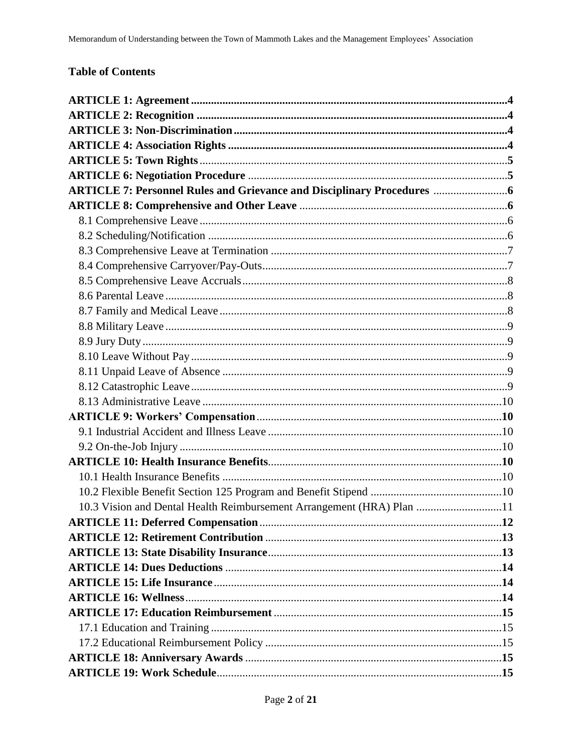### **Table of Contents**

| <b>ARTICLE 7: Personnel Rules and Grievance and Disciplinary Procedures </b> |  |
|------------------------------------------------------------------------------|--|
|                                                                              |  |
|                                                                              |  |
|                                                                              |  |
|                                                                              |  |
|                                                                              |  |
|                                                                              |  |
|                                                                              |  |
|                                                                              |  |
|                                                                              |  |
|                                                                              |  |
|                                                                              |  |
|                                                                              |  |
|                                                                              |  |
|                                                                              |  |
|                                                                              |  |
|                                                                              |  |
|                                                                              |  |
|                                                                              |  |
|                                                                              |  |
|                                                                              |  |
| 10.3 Vision and Dental Health Reimbursement Arrangement (HRA) Plan 11        |  |
|                                                                              |  |
|                                                                              |  |
|                                                                              |  |
|                                                                              |  |
|                                                                              |  |
|                                                                              |  |
|                                                                              |  |
|                                                                              |  |
|                                                                              |  |
|                                                                              |  |
|                                                                              |  |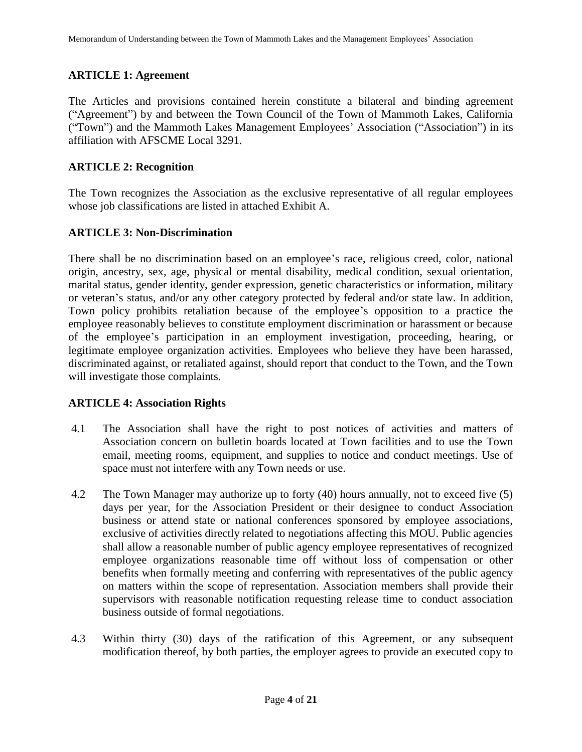### **ARTICLE 1: Agreement**

The Articles and provisions contained herein constitute a bilateral and binding agreement ("Agreement") by and between the Town Council of the Town of Mammoth Lakes, California ("Town") and the Mammoth Lakes Management Employees' Association ("Association") in its affiliation with AFSCME Local 3291.

### **ARTICLE 2: Recognition**

The Town recognizes the Association as the exclusive representative of all regular employees whose job classifications are listed in attached Exhibit A.

### **ARTICLE 3: Non-Discrimination**

There shall be no discrimination based on an employee's race, religious creed, color, national origin, ancestry, sex, age, physical or mental disability, medical condition, sexual orientation, marital status, gender identity, gender expression, genetic characteristics or information, military or veteran's status, and/or any other category protected by federal and/or state law. In addition, Town policy prohibits retaliation because of the employee's opposition to a practice the employee reasonably believes to constitute employment discrimination or harassment or because of the employee's participation in an employment investigation, proceeding, hearing, or legitimate employee organization activities. Employees who believe they have been harassed, discriminated against, or retaliated against, should report that conduct to the Town, and the Town will investigate those complaints.

### **ARTICLE 4: Association Rights**

- 4.1 The Association shall have the right to post notices of activities and matters of Association concern on bulletin boards located at Town facilities and to use the Town email, meeting rooms, equipment, and supplies to notice and conduct meetings. Use of space must not interfere with any Town needs or use.
- 4.2 The Town Manager may authorize up to forty (40) hours annually, not to exceed five (5) days per year, for the Association President or their designee to conduct Association business or attend state or national conferences sponsored by employee associations, exclusive of activities directly related to negotiations affecting this MOU. Public agencies shall allow a reasonable number of public agency employee representatives of recognized employee organizations reasonable time off without loss of compensation or other benefits when formally meeting and conferring with representatives of the public agency on matters within the scope of representation. Association members shall provide their supervisors with reasonable notification requesting release time to conduct association business outside of formal negotiations.
- 4.3 Within thirty (30) days of the ratification of this Agreement, or any subsequent modification thereof, by both parties, the employer agrees to provide an executed copy to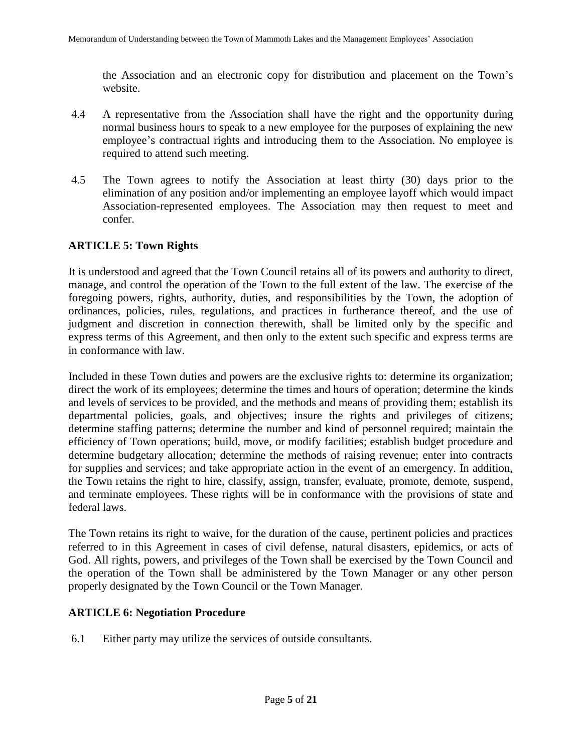the Association and an electronic copy for distribution and placement on the Town's website.

- 4.4 A representative from the Association shall have the right and the opportunity during normal business hours to speak to a new employee for the purposes of explaining the new employee's contractual rights and introducing them to the Association. No employee is required to attend such meeting.
- 4.5 The Town agrees to notify the Association at least thirty (30) days prior to the elimination of any position and/or implementing an employee layoff which would impact Association-represented employees. The Association may then request to meet and confer.

### **ARTICLE 5: Town Rights**

It is understood and agreed that the Town Council retains all of its powers and authority to direct, manage, and control the operation of the Town to the full extent of the law. The exercise of the foregoing powers, rights, authority, duties, and responsibilities by the Town, the adoption of ordinances, policies, rules, regulations, and practices in furtherance thereof, and the use of judgment and discretion in connection therewith, shall be limited only by the specific and express terms of this Agreement, and then only to the extent such specific and express terms are in conformance with law.

Included in these Town duties and powers are the exclusive rights to: determine its organization; direct the work of its employees; determine the times and hours of operation; determine the kinds and levels of services to be provided, and the methods and means of providing them; establish its departmental policies, goals, and objectives; insure the rights and privileges of citizens; determine staffing patterns; determine the number and kind of personnel required; maintain the efficiency of Town operations; build, move, or modify facilities; establish budget procedure and determine budgetary allocation; determine the methods of raising revenue; enter into contracts for supplies and services; and take appropriate action in the event of an emergency. In addition, the Town retains the right to hire, classify, assign, transfer, evaluate, promote, demote, suspend, and terminate employees. These rights will be in conformance with the provisions of state and federal laws.

The Town retains its right to waive, for the duration of the cause, pertinent policies and practices referred to in this Agreement in cases of civil defense, natural disasters, epidemics, or acts of God. All rights, powers, and privileges of the Town shall be exercised by the Town Council and the operation of the Town shall be administered by the Town Manager or any other person properly designated by the Town Council or the Town Manager.

### **ARTICLE 6: Negotiation Procedure**

6.1 Either party may utilize the services of outside consultants.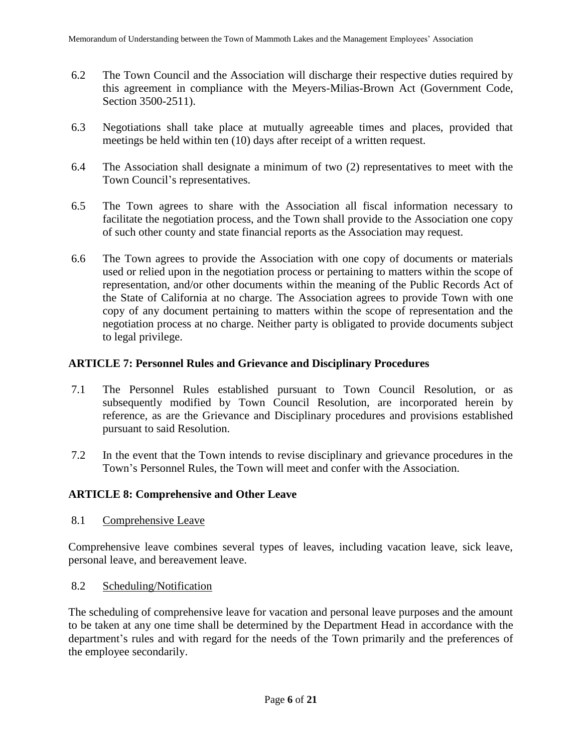- 6.2 The Town Council and the Association will discharge their respective duties required by this agreement in compliance with the Meyers-Milias-Brown Act (Government Code, Section 3500-2511).
- 6.3 Negotiations shall take place at mutually agreeable times and places, provided that meetings be held within ten (10) days after receipt of a written request.
- 6.4 The Association shall designate a minimum of two (2) representatives to meet with the Town Council's representatives.
- 6.5 The Town agrees to share with the Association all fiscal information necessary to facilitate the negotiation process, and the Town shall provide to the Association one copy of such other county and state financial reports as the Association may request.
- 6.6 The Town agrees to provide the Association with one copy of documents or materials used or relied upon in the negotiation process or pertaining to matters within the scope of representation, and/or other documents within the meaning of the Public Records Act of the State of California at no charge. The Association agrees to provide Town with one copy of any document pertaining to matters within the scope of representation and the negotiation process at no charge. Neither party is obligated to provide documents subject to legal privilege.

### **ARTICLE 7: Personnel Rules and Grievance and Disciplinary Procedures**

- 7.1 The Personnel Rules established pursuant to Town Council Resolution, or as subsequently modified by Town Council Resolution, are incorporated herein by reference, as are the Grievance and Disciplinary procedures and provisions established pursuant to said Resolution.
- 7.2 In the event that the Town intends to revise disciplinary and grievance procedures in the Town's Personnel Rules, the Town will meet and confer with the Association.

### **ARTICLE 8: Comprehensive and Other Leave**

8.1 Comprehensive Leave

Comprehensive leave combines several types of leaves, including vacation leave, sick leave, personal leave, and bereavement leave.

8.2 Scheduling/Notification

The scheduling of comprehensive leave for vacation and personal leave purposes and the amount to be taken at any one time shall be determined by the Department Head in accordance with the department's rules and with regard for the needs of the Town primarily and the preferences of the employee secondarily.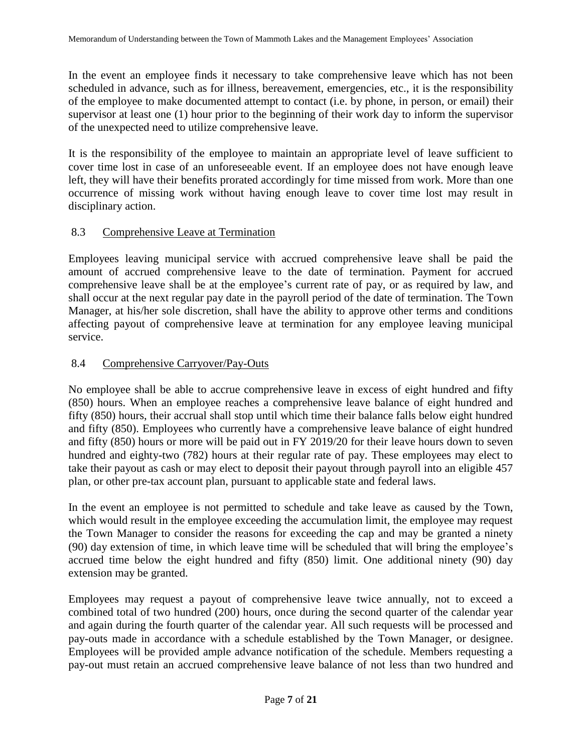In the event an employee finds it necessary to take comprehensive leave which has not been scheduled in advance, such as for illness, bereavement, emergencies, etc., it is the responsibility of the employee to make documented attempt to contact (i.e. by phone, in person, or email) their supervisor at least one (1) hour prior to the beginning of their work day to inform the supervisor of the unexpected need to utilize comprehensive leave.

It is the responsibility of the employee to maintain an appropriate level of leave sufficient to cover time lost in case of an unforeseeable event. If an employee does not have enough leave left, they will have their benefits prorated accordingly for time missed from work. More than one occurrence of missing work without having enough leave to cover time lost may result in disciplinary action.

### 8.3 Comprehensive Leave at Termination

Employees leaving municipal service with accrued comprehensive leave shall be paid the amount of accrued comprehensive leave to the date of termination. Payment for accrued comprehensive leave shall be at the employee's current rate of pay, or as required by law, and shall occur at the next regular pay date in the payroll period of the date of termination. The Town Manager, at his/her sole discretion, shall have the ability to approve other terms and conditions affecting payout of comprehensive leave at termination for any employee leaving municipal service.

### 8.4 Comprehensive Carryover/Pay-Outs

No employee shall be able to accrue comprehensive leave in excess of eight hundred and fifty (850) hours. When an employee reaches a comprehensive leave balance of eight hundred and fifty (850) hours, their accrual shall stop until which time their balance falls below eight hundred and fifty (850). Employees who currently have a comprehensive leave balance of eight hundred and fifty (850) hours or more will be paid out in FY 2019/20 for their leave hours down to seven hundred and eighty-two (782) hours at their regular rate of pay. These employees may elect to take their payout as cash or may elect to deposit their payout through payroll into an eligible 457 plan, or other pre-tax account plan, pursuant to applicable state and federal laws.

In the event an employee is not permitted to schedule and take leave as caused by the Town, which would result in the employee exceeding the accumulation limit, the employee may request the Town Manager to consider the reasons for exceeding the cap and may be granted a ninety (90) day extension of time, in which leave time will be scheduled that will bring the employee's accrued time below the eight hundred and fifty (850) limit. One additional ninety (90) day extension may be granted.

Employees may request a payout of comprehensive leave twice annually, not to exceed a combined total of two hundred (200) hours, once during the second quarter of the calendar year and again during the fourth quarter of the calendar year. All such requests will be processed and pay-outs made in accordance with a schedule established by the Town Manager, or designee. Employees will be provided ample advance notification of the schedule. Members requesting a pay-out must retain an accrued comprehensive leave balance of not less than two hundred and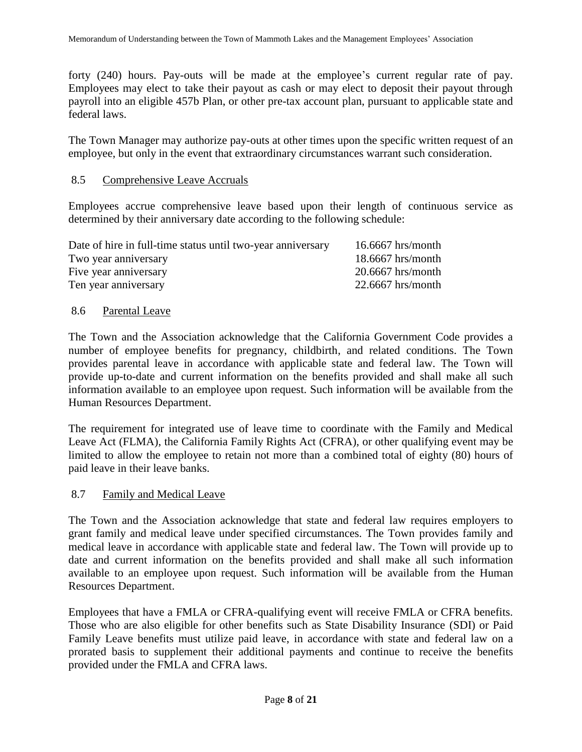forty (240) hours. Pay-outs will be made at the employee's current regular rate of pay. Employees may elect to take their payout as cash or may elect to deposit their payout through payroll into an eligible 457b Plan, or other pre-tax account plan, pursuant to applicable state and federal laws.

The Town Manager may authorize pay-outs at other times upon the specific written request of an employee, but only in the event that extraordinary circumstances warrant such consideration.

#### 8.5 Comprehensive Leave Accruals

Employees accrue comprehensive leave based upon their length of continuous service as determined by their anniversary date according to the following schedule:

| $16.6667$ hrs/month |
|---------------------|
| $18.6667$ hrs/month |
| $20.6667$ hrs/month |
| $22.6667$ hrs/month |
|                     |

#### 8.6 Parental Leave

The Town and the Association acknowledge that the California Government Code provides a number of employee benefits for pregnancy, childbirth, and related conditions. The Town provides parental leave in accordance with applicable state and federal law. The Town will provide up-to-date and current information on the benefits provided and shall make all such information available to an employee upon request. Such information will be available from the Human Resources Department.

The requirement for integrated use of leave time to coordinate with the Family and Medical Leave Act (FLMA), the California Family Rights Act (CFRA), or other qualifying event may be limited to allow the employee to retain not more than a combined total of eighty (80) hours of paid leave in their leave banks.

#### 8.7 Family and Medical Leave

The Town and the Association acknowledge that state and federal law requires employers to grant family and medical leave under specified circumstances. The Town provides family and medical leave in accordance with applicable state and federal law. The Town will provide up to date and current information on the benefits provided and shall make all such information available to an employee upon request. Such information will be available from the Human Resources Department.

Employees that have a FMLA or CFRA-qualifying event will receive FMLA or CFRA benefits. Those who are also eligible for other benefits such as State Disability Insurance (SDI) or Paid Family Leave benefits must utilize paid leave, in accordance with state and federal law on a prorated basis to supplement their additional payments and continue to receive the benefits provided under the FMLA and CFRA laws.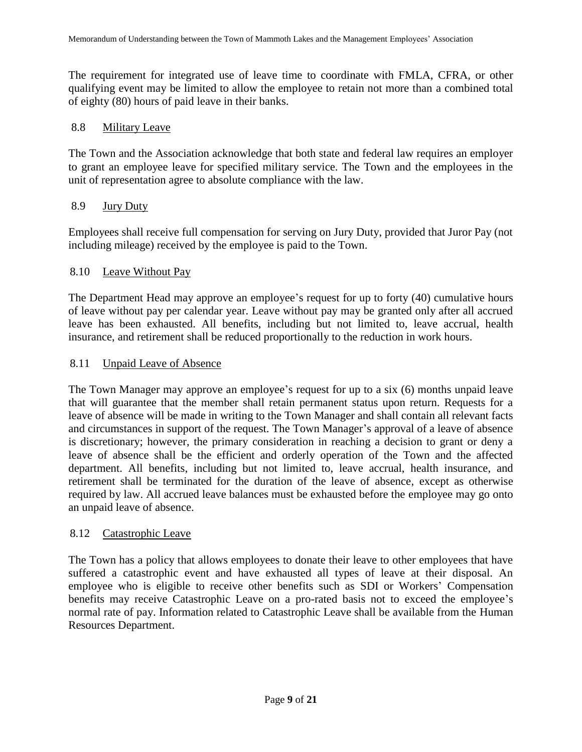The requirement for integrated use of leave time to coordinate with FMLA, CFRA, or other qualifying event may be limited to allow the employee to retain not more than a combined total of eighty (80) hours of paid leave in their banks.

#### 8.8 Military Leave

The Town and the Association acknowledge that both state and federal law requires an employer to grant an employee leave for specified military service. The Town and the employees in the unit of representation agree to absolute compliance with the law.

### 8.9 Jury Duty

Employees shall receive full compensation for serving on Jury Duty, provided that Juror Pay (not including mileage) received by the employee is paid to the Town.

### 8.10 Leave Without Pay

The Department Head may approve an employee's request for up to forty (40) cumulative hours of leave without pay per calendar year. Leave without pay may be granted only after all accrued leave has been exhausted. All benefits, including but not limited to, leave accrual, health insurance, and retirement shall be reduced proportionally to the reduction in work hours.

### 8.11 Unpaid Leave of Absence

The Town Manager may approve an employee's request for up to a six (6) months unpaid leave that will guarantee that the member shall retain permanent status upon return. Requests for a leave of absence will be made in writing to the Town Manager and shall contain all relevant facts and circumstances in support of the request. The Town Manager's approval of a leave of absence is discretionary; however, the primary consideration in reaching a decision to grant or deny a leave of absence shall be the efficient and orderly operation of the Town and the affected department. All benefits, including but not limited to, leave accrual, health insurance, and retirement shall be terminated for the duration of the leave of absence, except as otherwise required by law. All accrued leave balances must be exhausted before the employee may go onto an unpaid leave of absence.

#### 8.12 Catastrophic Leave

The Town has a policy that allows employees to donate their leave to other employees that have suffered a catastrophic event and have exhausted all types of leave at their disposal. An employee who is eligible to receive other benefits such as SDI or Workers' Compensation benefits may receive Catastrophic Leave on a pro-rated basis not to exceed the employee's normal rate of pay. Information related to Catastrophic Leave shall be available from the Human Resources Department.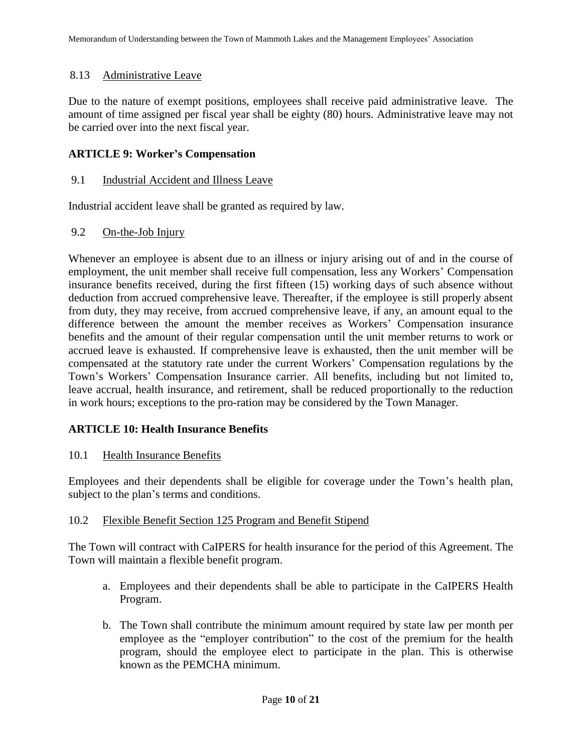### 8.13 Administrative Leave

Due to the nature of exempt positions, employees shall receive paid administrative leave. The amount of time assigned per fiscal year shall be eighty (80) hours. Administrative leave may not be carried over into the next fiscal year.

### **ARTICLE 9: Worker's Compensation**

### 9.1 Industrial Accident and Illness Leave

Industrial accident leave shall be granted as required by law.

### 9.2 On-the-Job Injury

Whenever an employee is absent due to an illness or injury arising out of and in the course of employment, the unit member shall receive full compensation, less any Workers' Compensation insurance benefits received, during the first fifteen (15) working days of such absence without deduction from accrued comprehensive leave. Thereafter, if the employee is still properly absent from duty, they may receive, from accrued comprehensive leave, if any, an amount equal to the difference between the amount the member receives as Workers' Compensation insurance benefits and the amount of their regular compensation until the unit member returns to work or accrued leave is exhausted. If comprehensive leave is exhausted, then the unit member will be compensated at the statutory rate under the current Workers' Compensation regulations by the Town's Workers' Compensation Insurance carrier. All benefits, including but not limited to, leave accrual, health insurance, and retirement, shall be reduced proportionally to the reduction in work hours; exceptions to the pro-ration may be considered by the Town Manager.

### **ARTICLE 10: Health Insurance Benefits**

10.1 Health Insurance Benefits

Employees and their dependents shall be eligible for coverage under the Town's health plan, subject to the plan's terms and conditions.

#### 10.2 Flexible Benefit Section 125 Program and Benefit Stipend

The Town will contract with CaIPERS for health insurance for the period of this Agreement. The Town will maintain a flexible benefit program.

- a. Employees and their dependents shall be able to participate in the CaIPERS Health Program.
- b. The Town shall contribute the minimum amount required by state law per month per employee as the "employer contribution" to the cost of the premium for the health program, should the employee elect to participate in the plan. This is otherwise known as the PEMCHA minimum.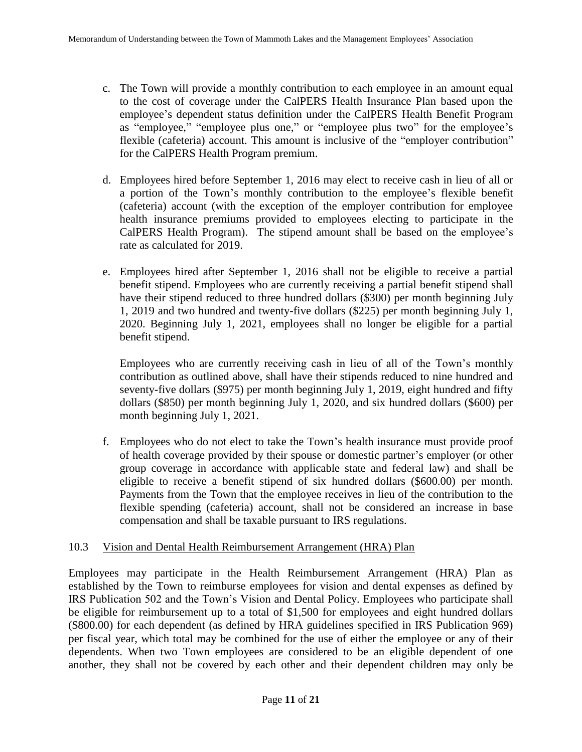- c. The Town will provide a monthly contribution to each employee in an amount equal to the cost of coverage under the CalPERS Health Insurance Plan based upon the employee's dependent status definition under the CalPERS Health Benefit Program as "employee," "employee plus one," or "employee plus two" for the employee's flexible (cafeteria) account. This amount is inclusive of the "employer contribution" for the CalPERS Health Program premium.
- d. Employees hired before September 1, 2016 may elect to receive cash in lieu of all or a portion of the Town's monthly contribution to the employee's flexible benefit (cafeteria) account (with the exception of the employer contribution for employee health insurance premiums provided to employees electing to participate in the CalPERS Health Program). The stipend amount shall be based on the employee's rate as calculated for 2019.
- e. Employees hired after September 1, 2016 shall not be eligible to receive a partial benefit stipend. Employees who are currently receiving a partial benefit stipend shall have their stipend reduced to three hundred dollars (\$300) per month beginning July 1, 2019 and two hundred and twenty-five dollars (\$225) per month beginning July 1, 2020. Beginning July 1, 2021, employees shall no longer be eligible for a partial benefit stipend.

Employees who are currently receiving cash in lieu of all of the Town's monthly contribution as outlined above, shall have their stipends reduced to nine hundred and seventy-five dollars (\$975) per month beginning July 1, 2019, eight hundred and fifty dollars (\$850) per month beginning July 1, 2020, and six hundred dollars (\$600) per month beginning July 1, 2021.

f. Employees who do not elect to take the Town's health insurance must provide proof of health coverage provided by their spouse or domestic partner's employer (or other group coverage in accordance with applicable state and federal law) and shall be eligible to receive a benefit stipend of six hundred dollars (\$600.00) per month. Payments from the Town that the employee receives in lieu of the contribution to the flexible spending (cafeteria) account, shall not be considered an increase in base compensation and shall be taxable pursuant to IRS regulations.

#### 10.3 Vision and Dental Health Reimbursement Arrangement (HRA) Plan

Employees may participate in the Health Reimbursement Arrangement (HRA) Plan as established by the Town to reimburse employees for vision and dental expenses as defined by IRS Publication 502 and the Town's Vision and Dental Policy. Employees who participate shall be eligible for reimbursement up to a total of \$1,500 for employees and eight hundred dollars (\$800.00) for each dependent (as defined by HRA guidelines specified in IRS Publication 969) per fiscal year, which total may be combined for the use of either the employee or any of their dependents. When two Town employees are considered to be an eligible dependent of one another, they shall not be covered by each other and their dependent children may only be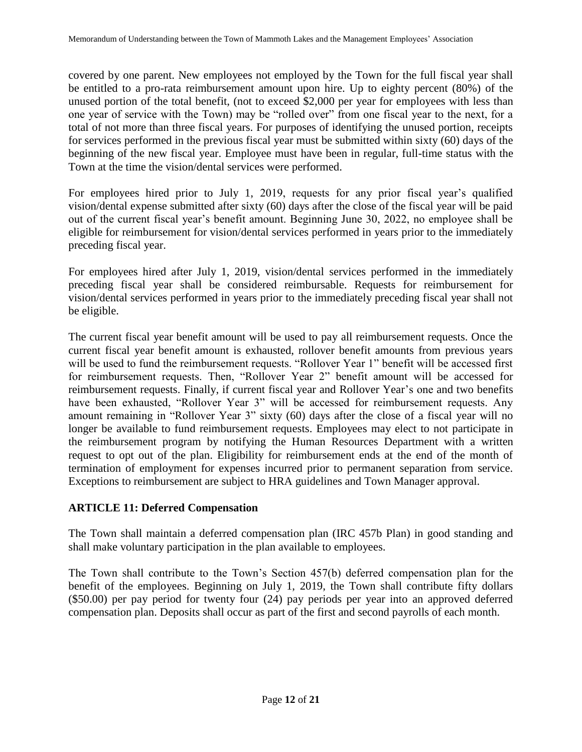covered by one parent. New employees not employed by the Town for the full fiscal year shall be entitled to a pro-rata reimbursement amount upon hire. Up to eighty percent (80%) of the unused portion of the total benefit, (not to exceed \$2,000 per year for employees with less than one year of service with the Town) may be "rolled over" from one fiscal year to the next, for a total of not more than three fiscal years. For purposes of identifying the unused portion, receipts for services performed in the previous fiscal year must be submitted within sixty (60) days of the beginning of the new fiscal year. Employee must have been in regular, full-time status with the Town at the time the vision/dental services were performed.

For employees hired prior to July 1, 2019, requests for any prior fiscal year's qualified vision/dental expense submitted after sixty (60) days after the close of the fiscal year will be paid out of the current fiscal year's benefit amount. Beginning June 30, 2022, no employee shall be eligible for reimbursement for vision/dental services performed in years prior to the immediately preceding fiscal year.

For employees hired after July 1, 2019, vision/dental services performed in the immediately preceding fiscal year shall be considered reimbursable. Requests for reimbursement for vision/dental services performed in years prior to the immediately preceding fiscal year shall not be eligible.

The current fiscal year benefit amount will be used to pay all reimbursement requests. Once the current fiscal year benefit amount is exhausted, rollover benefit amounts from previous years will be used to fund the reimbursement requests. "Rollover Year 1" benefit will be accessed first for reimbursement requests. Then, "Rollover Year 2" benefit amount will be accessed for reimbursement requests. Finally, if current fiscal year and Rollover Year's one and two benefits have been exhausted, "Rollover Year 3" will be accessed for reimbursement requests. Any amount remaining in "Rollover Year 3" sixty (60) days after the close of a fiscal year will no longer be available to fund reimbursement requests. Employees may elect to not participate in the reimbursement program by notifying the Human Resources Department with a written request to opt out of the plan. Eligibility for reimbursement ends at the end of the month of termination of employment for expenses incurred prior to permanent separation from service. Exceptions to reimbursement are subject to HRA guidelines and Town Manager approval.

### **ARTICLE 11: Deferred Compensation**

The Town shall maintain a deferred compensation plan (IRC 457b Plan) in good standing and shall make voluntary participation in the plan available to employees.

The Town shall contribute to the Town's Section 457(b) deferred compensation plan for the benefit of the employees. Beginning on July 1, 2019, the Town shall contribute fifty dollars (\$50.00) per pay period for twenty four (24) pay periods per year into an approved deferred compensation plan. Deposits shall occur as part of the first and second payrolls of each month.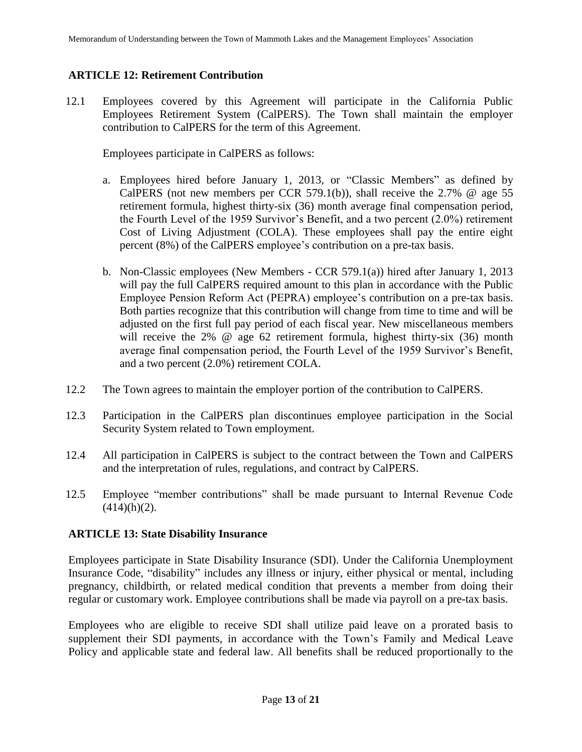### **ARTICLE 12: Retirement Contribution**

12.1 Employees covered by this Agreement will participate in the California Public Employees Retirement System (CalPERS). The Town shall maintain the employer contribution to CalPERS for the term of this Agreement.

Employees participate in CalPERS as follows:

- a. Employees hired before January 1, 2013, or "Classic Members" as defined by CalPERS (not new members per CCR 579.1(b)), shall receive the 2.7% @ age 55 retirement formula, highest thirty-six (36) month average final compensation period, the Fourth Level of the 1959 Survivor's Benefit, and a two percent (2.0%) retirement Cost of Living Adjustment (COLA). These employees shall pay the entire eight percent (8%) of the CalPERS employee's contribution on a pre-tax basis.
- b. Non-Classic employees (New Members CCR 579.1(a)) hired after January 1, 2013 will pay the full CalPERS required amount to this plan in accordance with the Public Employee Pension Reform Act (PEPRA) employee's contribution on a pre-tax basis. Both parties recognize that this contribution will change from time to time and will be adjusted on the first full pay period of each fiscal year. New miscellaneous members will receive the 2% @ age 62 retirement formula, highest thirty-six (36) month average final compensation period, the Fourth Level of the 1959 Survivor's Benefit, and a two percent (2.0%) retirement COLA.
- 12.2 The Town agrees to maintain the employer portion of the contribution to CalPERS.
- 12.3 Participation in the CalPERS plan discontinues employee participation in the Social Security System related to Town employment.
- 12.4 All participation in CalPERS is subject to the contract between the Town and CalPERS and the interpretation of rules, regulations, and contract by CalPERS.
- 12.5 Employee "member contributions" shall be made pursuant to Internal Revenue Code  $(414)(h)(2)$ .

### **ARTICLE 13: State Disability Insurance**

Employees participate in State Disability Insurance (SDI). Under the California Unemployment Insurance Code, "disability" includes any illness or injury, either physical or mental, including pregnancy, childbirth, or related medical condition that prevents a member from doing their regular or customary work. Employee contributions shall be made via payroll on a pre-tax basis.

Employees who are eligible to receive SDI shall utilize paid leave on a prorated basis to supplement their SDI payments, in accordance with the Town's Family and Medical Leave Policy and applicable state and federal law. All benefits shall be reduced proportionally to the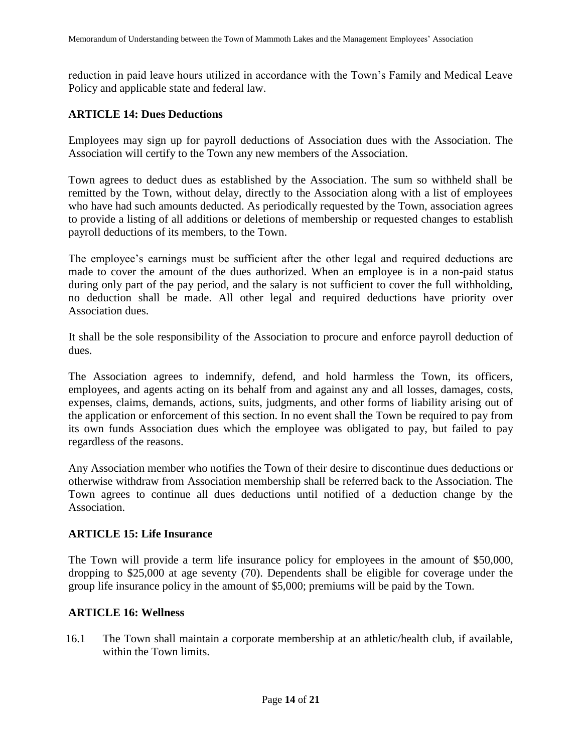reduction in paid leave hours utilized in accordance with the Town's Family and Medical Leave Policy and applicable state and federal law.

### **ARTICLE 14: Dues Deductions**

Employees may sign up for payroll deductions of Association dues with the Association. The Association will certify to the Town any new members of the Association.

Town agrees to deduct dues as established by the Association. The sum so withheld shall be remitted by the Town, without delay, directly to the Association along with a list of employees who have had such amounts deducted. As periodically requested by the Town, association agrees to provide a listing of all additions or deletions of membership or requested changes to establish payroll deductions of its members, to the Town.

The employee's earnings must be sufficient after the other legal and required deductions are made to cover the amount of the dues authorized. When an employee is in a non-paid status during only part of the pay period, and the salary is not sufficient to cover the full withholding, no deduction shall be made. All other legal and required deductions have priority over Association dues.

It shall be the sole responsibility of the Association to procure and enforce payroll deduction of dues.

The Association agrees to indemnify, defend, and hold harmless the Town, its officers, employees, and agents acting on its behalf from and against any and all losses, damages, costs, expenses, claims, demands, actions, suits, judgments, and other forms of liability arising out of the application or enforcement of this section. In no event shall the Town be required to pay from its own funds Association dues which the employee was obligated to pay, but failed to pay regardless of the reasons.

Any Association member who notifies the Town of their desire to discontinue dues deductions or otherwise withdraw from Association membership shall be referred back to the Association. The Town agrees to continue all dues deductions until notified of a deduction change by the Association.

#### **ARTICLE 15: Life Insurance**

The Town will provide a term life insurance policy for employees in the amount of \$50,000, dropping to \$25,000 at age seventy (70). Dependents shall be eligible for coverage under the group life insurance policy in the amount of \$5,000; premiums will be paid by the Town.

#### **ARTICLE 16: Wellness**

16.1 The Town shall maintain a corporate membership at an athletic/health club, if available, within the Town limits.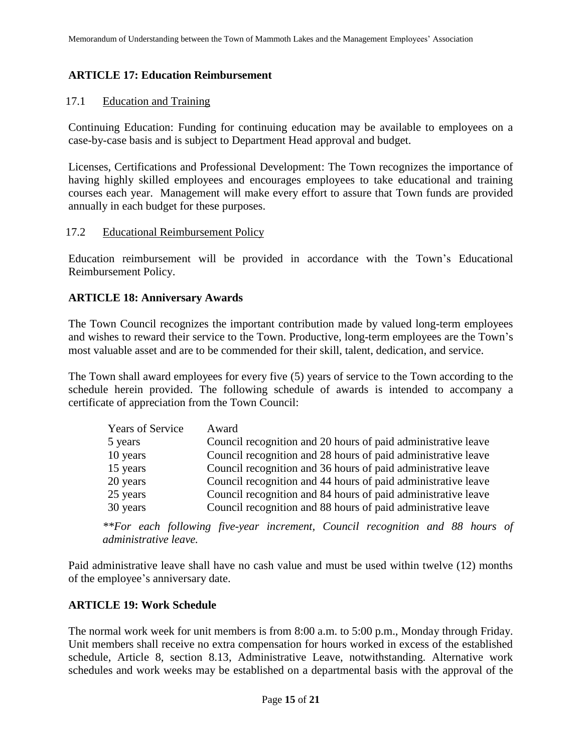### **ARTICLE 17: Education Reimbursement**

#### 17.1 Education and Training

Continuing Education: Funding for continuing education may be available to employees on a case-by-case basis and is subject to Department Head approval and budget.

Licenses, Certifications and Professional Development: The Town recognizes the importance of having highly skilled employees and encourages employees to take educational and training courses each year. Management will make every effort to assure that Town funds are provided annually in each budget for these purposes.

#### 17.2 Educational Reimbursement Policy

Education reimbursement will be provided in accordance with the Town's Educational Reimbursement Policy.

### **ARTICLE 18: Anniversary Awards**

The Town Council recognizes the important contribution made by valued long-term employees and wishes to reward their service to the Town. Productive, long-term employees are the Town's most valuable asset and are to be commended for their skill, talent, dedication, and service.

The Town shall award employees for every five (5) years of service to the Town according to the schedule herein provided. The following schedule of awards is intended to accompany a certificate of appreciation from the Town Council:

| Years of Service | Award                                                         |
|------------------|---------------------------------------------------------------|
| 5 years          | Council recognition and 20 hours of paid administrative leave |
| 10 years         | Council recognition and 28 hours of paid administrative leave |
| 15 years         | Council recognition and 36 hours of paid administrative leave |
| 20 years         | Council recognition and 44 hours of paid administrative leave |
| 25 years         | Council recognition and 84 hours of paid administrative leave |
| 30 years         | Council recognition and 88 hours of paid administrative leave |

*\*\*For each following five-year increment, Council recognition and 88 hours of administrative leave.*

Paid administrative leave shall have no cash value and must be used within twelve (12) months of the employee's anniversary date.

### **ARTICLE 19: Work Schedule**

The normal work week for unit members is from 8:00 a.m. to 5:00 p.m., Monday through Friday. Unit members shall receive no extra compensation for hours worked in excess of the established schedule, Article 8, section 8.13, Administrative Leave, notwithstanding. Alternative work schedules and work weeks may be established on a departmental basis with the approval of the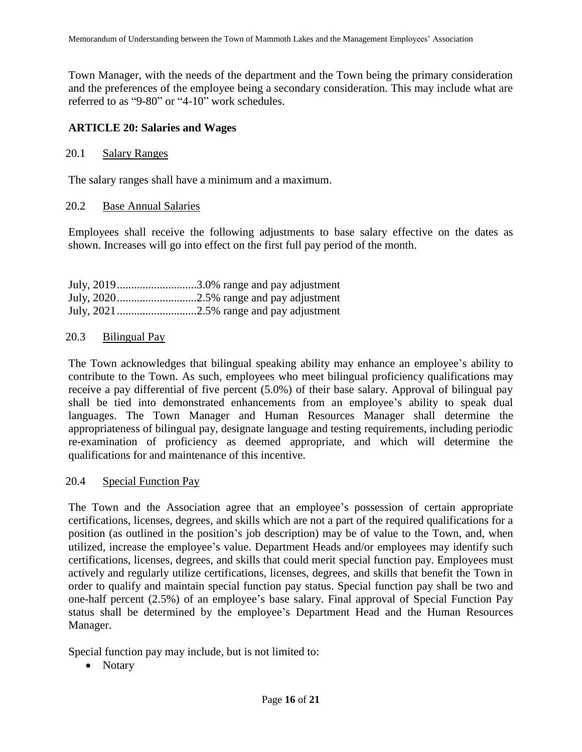Town Manager, with the needs of the department and the Town being the primary consideration and the preferences of the employee being a secondary consideration. This may include what are referred to as "9-80" or "4-10" work schedules.

### **ARTICLE 20: Salaries and Wages**

#### 20.1 Salary Ranges

The salary ranges shall have a minimum and a maximum.

#### 20.2 Base Annual Salaries

Employees shall receive the following adjustments to base salary effective on the dates as shown. Increases will go into effect on the first full pay period of the month.

| July, 20193.0% range and pay adjustment |
|-----------------------------------------|
|                                         |
|                                         |

#### 20.3 Bilingual Pay

The Town acknowledges that bilingual speaking ability may enhance an employee's ability to contribute to the Town. As such, employees who meet bilingual proficiency qualifications may receive a pay differential of five percent (5.0%) of their base salary. Approval of bilingual pay shall be tied into demonstrated enhancements from an employee's ability to speak dual languages. The Town Manager and Human Resources Manager shall determine the appropriateness of bilingual pay, designate language and testing requirements, including periodic re-examination of proficiency as deemed appropriate, and which will determine the qualifications for and maintenance of this incentive.

#### 20.4 Special Function Pay

The Town and the Association agree that an employee's possession of certain appropriate certifications, licenses, degrees, and skills which are not a part of the required qualifications for a position (as outlined in the position's job description) may be of value to the Town, and, when utilized, increase the employee's value. Department Heads and/or employees may identify such certifications, licenses, degrees, and skills that could merit special function pay. Employees must actively and regularly utilize certifications, licenses, degrees, and skills that benefit the Town in order to qualify and maintain special function pay status. Special function pay shall be two and one-half percent (2.5%) of an employee's base salary. Final approval of Special Function Pay status shall be determined by the employee's Department Head and the Human Resources Manager.

Special function pay may include, but is not limited to:

• Notary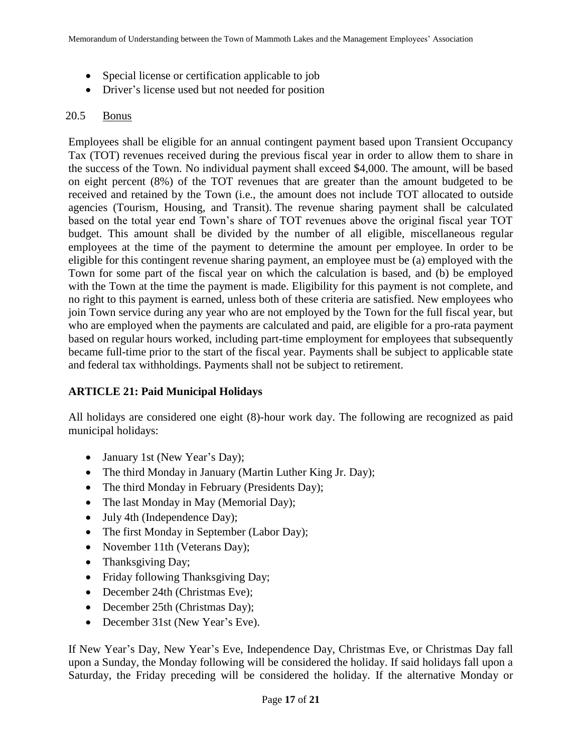- Special license or certification applicable to job
- Driver's license used but not needed for position

### 20.5 Bonus

Employees shall be eligible for an annual contingent payment based upon Transient Occupancy Tax (TOT) revenues received during the previous fiscal year in order to allow them to share in the success of the Town. No individual payment shall exceed \$4,000. The amount, will be based on eight percent (8%) of the TOT revenues that are greater than the amount budgeted to be received and retained by the Town (i.e., the amount does not include TOT allocated to outside agencies (Tourism, Housing, and Transit). The revenue sharing payment shall be calculated based on the total year end Town's share of TOT revenues above the original fiscal year TOT budget. This amount shall be divided by the number of all eligible, miscellaneous regular employees at the time of the payment to determine the amount per employee. In order to be eligible for this contingent revenue sharing payment, an employee must be (a) employed with the Town for some part of the fiscal year on which the calculation is based, and (b) be employed with the Town at the time the payment is made. Eligibility for this payment is not complete, and no right to this payment is earned, unless both of these criteria are satisfied. New employees who join Town service during any year who are not employed by the Town for the full fiscal year, but who are employed when the payments are calculated and paid, are eligible for a pro-rata payment based on regular hours worked, including part-time employment for employees that subsequently became full-time prior to the start of the fiscal year. Payments shall be subject to applicable state and federal tax withholdings. Payments shall not be subject to retirement.

### **ARTICLE 21: Paid Municipal Holidays**

All holidays are considered one eight (8)-hour work day. The following are recognized as paid municipal holidays:

- January 1st (New Year's Day);
- The third Monday in January (Martin Luther King Jr. Day);
- The third Monday in February (Presidents Day);
- The last Monday in May (Memorial Day);
- July 4th (Independence Day);
- The first Monday in September (Labor Day);
- November 11th (Veterans Day);
- Thanksgiving Day;
- Friday following Thanksgiving Day;
- December 24th (Christmas Eve);
- December 25th (Christmas Day);
- December 31st (New Year's Eve).

If New Year's Day, New Year's Eve, Independence Day, Christmas Eve, or Christmas Day fall upon a Sunday, the Monday following will be considered the holiday. If said holidays fall upon a Saturday, the Friday preceding will be considered the holiday. If the alternative Monday or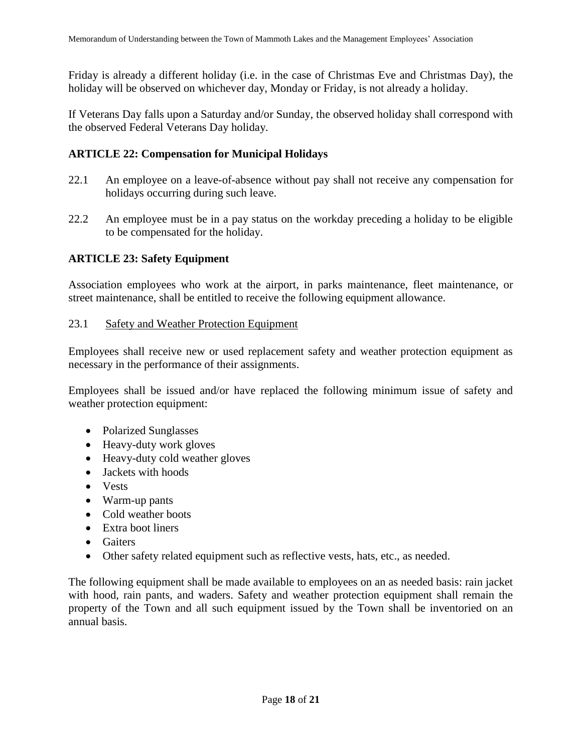Friday is already a different holiday (i.e. in the case of Christmas Eve and Christmas Day), the holiday will be observed on whichever day, Monday or Friday, is not already a holiday.

If Veterans Day falls upon a Saturday and/or Sunday, the observed holiday shall correspond with the observed Federal Veterans Day holiday.

### **ARTICLE 22: Compensation for Municipal Holidays**

- 22.1 An employee on a leave-of-absence without pay shall not receive any compensation for holidays occurring during such leave.
- 22.2 An employee must be in a pay status on the workday preceding a holiday to be eligible to be compensated for the holiday.

### **ARTICLE 23: Safety Equipment**

Association employees who work at the airport, in parks maintenance, fleet maintenance, or street maintenance, shall be entitled to receive the following equipment allowance.

### 23.1 Safety and Weather Protection Equipment

Employees shall receive new or used replacement safety and weather protection equipment as necessary in the performance of their assignments.

Employees shall be issued and/or have replaced the following minimum issue of safety and weather protection equipment:

- Polarized Sunglasses
- Heavy-duty work gloves
- Heavy-duty cold weather gloves
- Jackets with hoods
- Vests
- Warm-up pants
- Cold weather boots
- Extra boot liners
- **•** Gaiters
- Other safety related equipment such as reflective vests, hats, etc., as needed.

The following equipment shall be made available to employees on an as needed basis: rain jacket with hood, rain pants, and waders. Safety and weather protection equipment shall remain the property of the Town and all such equipment issued by the Town shall be inventoried on an annual basis.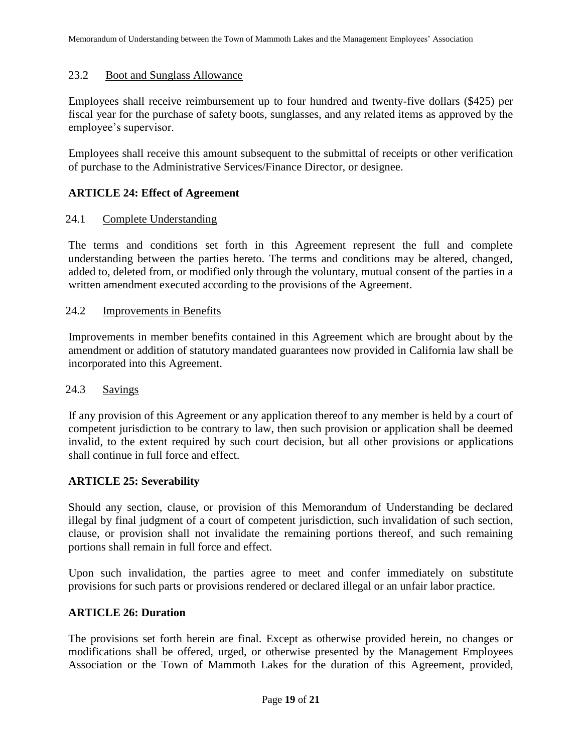#### 23.2 Boot and Sunglass Allowance

Employees shall receive reimbursement up to four hundred and twenty-five dollars (\$425) per fiscal year for the purchase of safety boots, sunglasses, and any related items as approved by the employee's supervisor.

Employees shall receive this amount subsequent to the submittal of receipts or other verification of purchase to the Administrative Services/Finance Director, or designee.

### **ARTICLE 24: Effect of Agreement**

#### 24.1 Complete Understanding

The terms and conditions set forth in this Agreement represent the full and complete understanding between the parties hereto. The terms and conditions may be altered, changed, added to, deleted from, or modified only through the voluntary, mutual consent of the parties in a written amendment executed according to the provisions of the Agreement.

#### 24.2 Improvements in Benefits

Improvements in member benefits contained in this Agreement which are brought about by the amendment or addition of statutory mandated guarantees now provided in California law shall be incorporated into this Agreement.

#### 24.3 Savings

If any provision of this Agreement or any application thereof to any member is held by a court of competent jurisdiction to be contrary to law, then such provision or application shall be deemed invalid, to the extent required by such court decision, but all other provisions or applications shall continue in full force and effect.

#### **ARTICLE 25: Severability**

Should any section, clause, or provision of this Memorandum of Understanding be declared illegal by final judgment of a court of competent jurisdiction, such invalidation of such section, clause, or provision shall not invalidate the remaining portions thereof, and such remaining portions shall remain in full force and effect.

Upon such invalidation, the parties agree to meet and confer immediately on substitute provisions for such parts or provisions rendered or declared illegal or an unfair labor practice.

#### **ARTICLE 26: Duration**

The provisions set forth herein are final. Except as otherwise provided herein, no changes or modifications shall be offered, urged, or otherwise presented by the Management Employees Association or the Town of Mammoth Lakes for the duration of this Agreement, provided,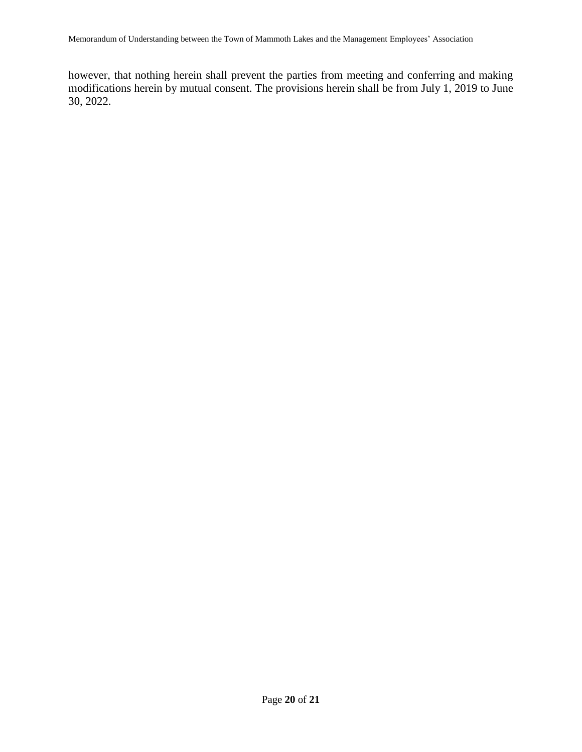however, that nothing herein shall prevent the parties from meeting and conferring and making modifications herein by mutual consent. The provisions herein shall be from July 1, 2019 to June 30, 2022.